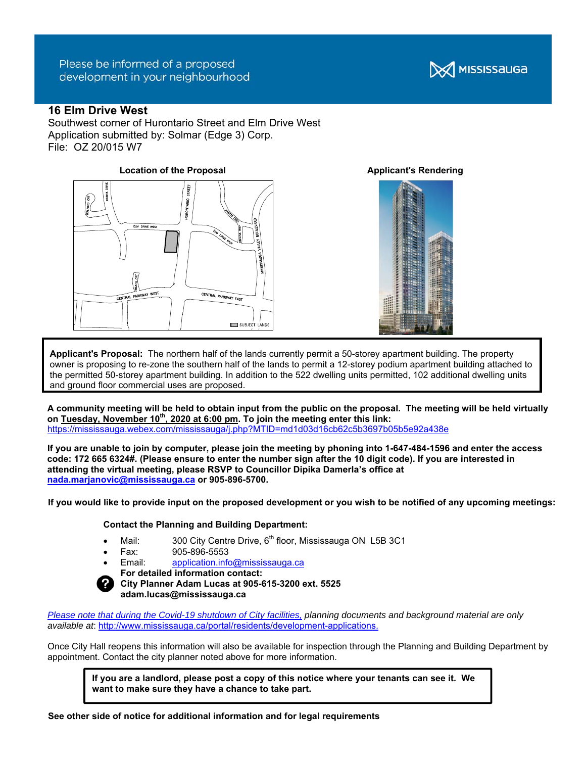# Please be informed of a proposed development in your neighbourhood

# **16 Elm Drive West**

Southwest corner of Hurontario Street and Elm Drive West Application submitted by: Solmar (Edge 3) Corp. File: OZ 20/015 W7



**X** MISSISSAUGA



**Applicant's Proposal:** The northern half of the lands currently permit a 50-storey apartment building. The property owner is proposing to re-zone the southern half of the lands to permit a 12-storey podium apartment building attached to the permitted 50-storey apartment building. In addition to the 522 dwelling units permitted, 102 additional dwelling units and ground floor commercial uses are proposed.

**A community meeting will be held to obtain input from the public on the proposal. The meeting will be held virtually on Tuesday, November 10th, 2020 at 6:00 pm. To join the meeting enter this link:** https://mississauga.webex.com/mississauga/j.php?MTID=md1d03d16cb62c5b3697b05b5e92a438e

**If you are unable to join by computer, please join the meeting by phoning into 1-647-484-1596 and enter the access code: 172 665 6324#. (Please ensure to enter the number sign after the 10 digit code). If you are interested in attending the virtual meeting, please RSVP to Councillor Dipika Damerla's office at nada.marjanovic@mississauga.ca or 905-896-5700.** 

**If you would like to provide input on the proposed development or you wish to be notified of any upcoming meetings:** 

### **Contact the Planning and Building Department:**

- Mail:  $300$  City Centre Drive,  $6<sup>th</sup>$  floor, Mississauga ON L5B 3C1
- Fax: 905-896-5553
	- Email: application.info@mississauga.ca
- **For detailed information contact:**

#### **City Planner Adam Lucas at 905-615-3200 ext. 5525 adam.lucas@mississauga.ca**

*Please note that during the Covid-19 shutdown of City facilities, planning documents and background material are only available at*: http://www.mississauga.ca/portal/residents/development-applications.

Once City Hall reopens this information will also be available for inspection through the Planning and Building Department by appointment. Contact the city planner noted above for more information.

**If you are a landlord, please post a copy of this notice where your tenants can see it. We want to make sure they have a chance to take part.**